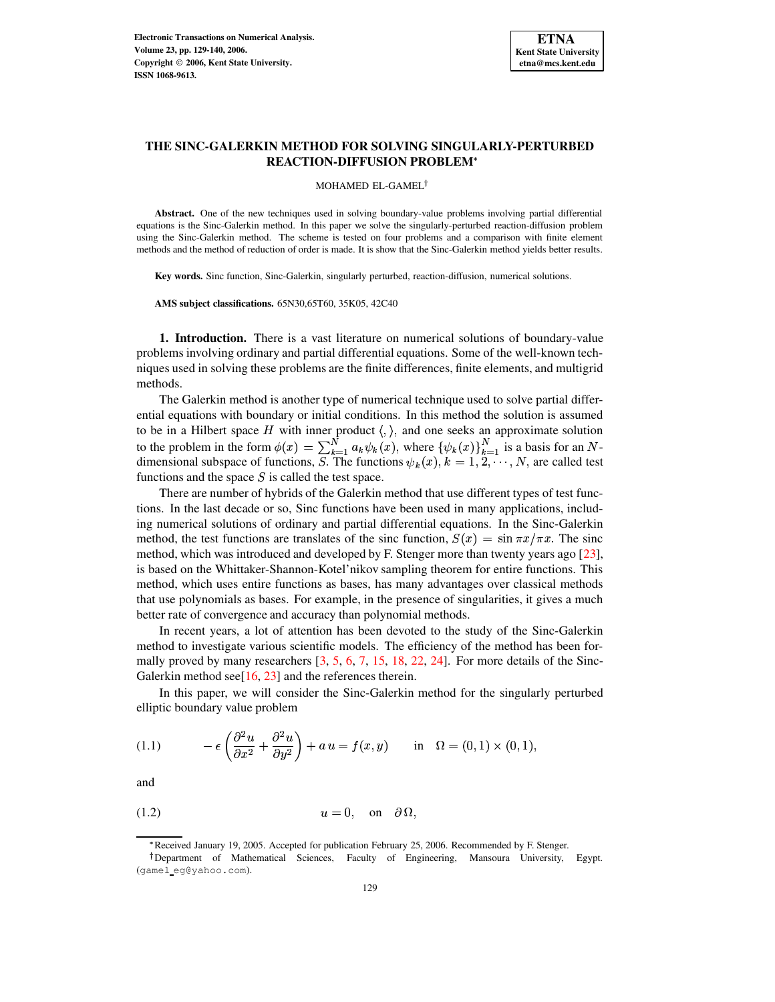

# **THE SINC-GALERKIN METHOD FOR SOLVING SINGULARLY-PERTURBED REACTION-DIFFUSION PROBLEM**

MOHAMED EL-GAMEL

**Abstract.** One of the new techniques used in solving boundary-value problems involving partial differential equations is the Sinc-Galerkin method. In this paper we solve the singularly-perturbed reaction-diffusion problem using the Sinc-Galerkin method. The scheme is tested on four problems and a comparison with finite element methods and the method of reduction of order is made. It is show that the Sinc-Galerkin method yields better results.

**Key words.** Sinc function, Sinc-Galerkin, singularly perturbed, reaction-diffusion, numerical solutions.

**AMS subject classifications.** 65N30,65T60, 35K05, 42C40

**1. Introduction.** There is a vast literature on numerical solutions of boundary-value problems involving ordinary and partial differential equations. Some of the well-known techniques used in solving these problems are the finite differences, finite elements, and multigrid methods.

The Galerkin method is another type of numerical technique used to solve partial differential equations with boundary or initial conditions. In this method the solution is assumed to be in a Hilbert space H with inner product  $\langle, \rangle$ , and one seeks an approximate solution to the problem in the form  $\phi(x) = \sum_{k=1}^{N} a_k \psi_k(x)$ , where  $\{\psi_k(x)\}_{k=1}^{N}$  is a basis for an Ndimensional subspace of functions, S. The functions  $\psi_k(x)$ ,  $k = 1, 2, \dots, N$ , are called test functions and the space  $S$  is called the test space.

There are number of hybrids of the Galerkin method that use different types of test functions. In the last decade or so, Sinc functions have been used in many applications, including numerical solutions of ordinary and partial differential equations. In the Sinc-Galerkin method, the test functions are translates of the sinc function,  $S(x) = \sin \pi x / \pi x$ . The sinc method, which was introduced and developed by F. Stenger more than twenty years ago [\[23\]](#page-11-0), is based on the Whittaker-Shannon-Kotel'nikov sampling theorem for entire functions. This method, which uses entire functions as bases, has many advantages over classical methods that use polynomials as bases. For example, in the presence of singularities, it gives a much better rate of convergence and accuracy than polynomial methods.

In recent years, a lot of attention has been devoted to the study of the Sinc-Galerkin method to investigate various scientific models. The efficiency of the method has been formally proved by many researchers  $[3, 5, 6, 7, 15, 18, 22, 24]$  $[3, 5, 6, 7, 15, 18, 22, 24]$  $[3, 5, 6, 7, 15, 18, 22, 24]$  $[3, 5, 6, 7, 15, 18, 22, 24]$  $[3, 5, 6, 7, 15, 18, 22, 24]$  $[3, 5, 6, 7, 15, 18, 22, 24]$  $[3, 5, 6, 7, 15, 18, 22, 24]$  $[3, 5, 6, 7, 15, 18, 22, 24]$  $[3, 5, 6, 7, 15, 18, 22, 24]$  $[3, 5, 6, 7, 15, 18, 22, 24]$  $[3, 5, 6, 7, 15, 18, 22, 24]$  $[3, 5, 6, 7, 15, 18, 22, 24]$  $[3, 5, 6, 7, 15, 18, 22, 24]$  $[3, 5, 6, 7, 15, 18, 22, 24]$  $[3, 5, 6, 7, 15, 18, 22, 24]$ . For more details of the Sinc-Galerkin method see<sup>[16]</sup>, [23\]](#page-11-0) and the references therein.

In this paper, we will consider the Sinc-Galerkin method for the singularly perturbed elliptic boundary value problem

<span id="page-0-0"></span>(1.1) 
$$
-\epsilon \left(\frac{\partial^2 u}{\partial x^2} + \frac{\partial^2 u}{\partial y^2}\right) + a u = f(x, y) \quad \text{in} \quad \Omega = (0, 1) \times (0, 1),
$$

and

$$
(1.2) \t\t u = 0, \t on \t \partial \Omega,
$$

<span id="page-0-1"></span><sup>\*</sup> Received January 19, 2005. Accepted for publication February 25, 2006. Recommended by F. Stenger.

<sup>&</sup>lt;sup>†</sup>Department of Mathematical Sciences, Faculty of Engineering, Mansoura University, Egypt. (gamel eg@yahoo.com).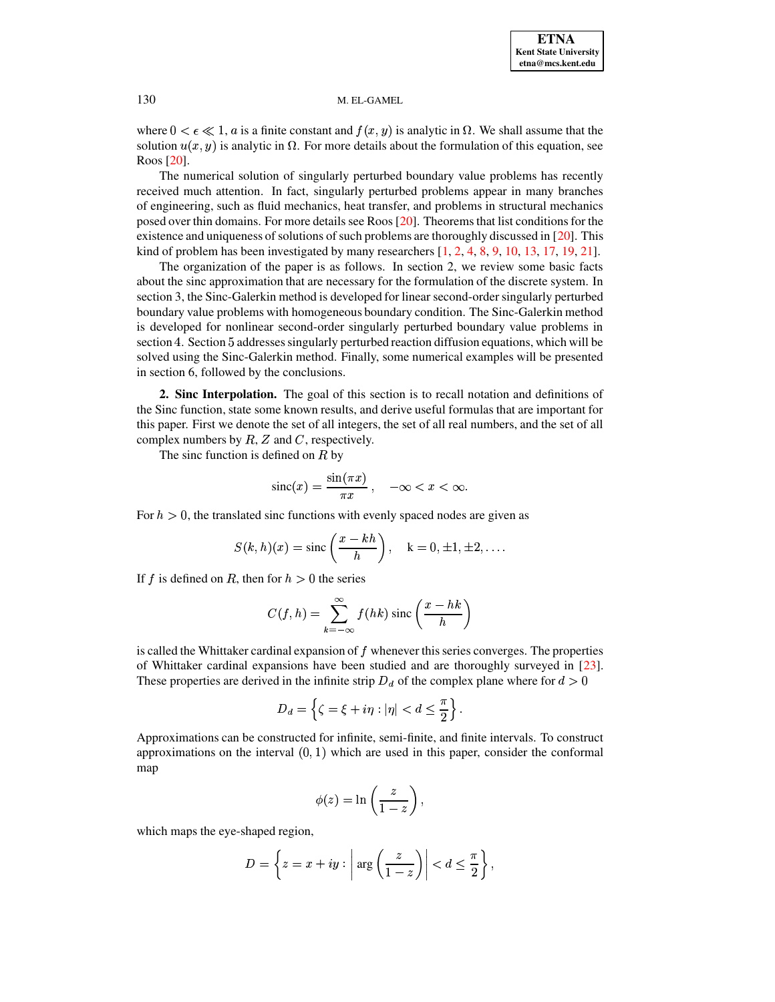where  $0 < \epsilon \ll 1$ , a is a finite constant and  $f(x, y)$  is analytic in  $\Omega$ . We shall assume that the solution  $u(x, y)$  is analytic in  $\Omega$ . For more details about the formulation of this equation, see Roos [\[20\]](#page-11-8).

The numerical solution of singularly perturbed boundary value problems has recently received much attention. In fact, singularly perturbed problems appear in many branches of engineering, such as fluid mechanics, heat transfer, and problems in structural mechanics posed over thin domains. For more details see Roos [\[20\]](#page-11-8). Theoremsthat list conditionsfor the existence and uniqueness of solutions of such problems are thoroughly discussed in  $[20]$ . This kind of problem has been investigated by many researchers  $[1, 2, 4, 8, 9, 10, 13, 17, 19, 21]$  $[1, 2, 4, 8, 9, 10, 13, 17, 19, 21]$  $[1, 2, 4, 8, 9, 10, 13, 17, 19, 21]$  $[1, 2, 4, 8, 9, 10, 13, 17, 19, 21]$  $[1, 2, 4, 8, 9, 10, 13, 17, 19, 21]$  $[1, 2, 4, 8, 9, 10, 13, 17, 19, 21]$  $[1, 2, 4, 8, 9, 10, 13, 17, 19, 21]$  $[1, 2, 4, 8, 9, 10, 13, 17, 19, 21]$  $[1, 2, 4, 8, 9, 10, 13, 17, 19, 21]$  $[1, 2, 4, 8, 9, 10, 13, 17, 19, 21]$  $[1, 2, 4, 8, 9, 10, 13, 17, 19, 21]$  $[1, 2, 4, 8, 9, 10, 13, 17, 19, 21]$  $[1, 2, 4, 8, 9, 10, 13, 17, 19, 21]$  $[1, 2, 4, 8, 9, 10, 13, 17, 19, 21]$  $[1, 2, 4, 8, 9, 10, 13, 17, 19, 21]$  $[1, 2, 4, 8, 9, 10, 13, 17, 19, 21]$  $[1, 2, 4, 8, 9, 10, 13, 17, 19, 21]$  $[1, 2, 4, 8, 9, 10, 13, 17, 19, 21]$  $[1, 2, 4, 8, 9, 10, 13, 17, 19, 21]$ .

The organization of the paper is as follows. In section 2, we review some basic facts about the sinc approximation that are necessary for the formulation of the discrete system. In section 3, the Sinc-Galerkin method is developed for linear second-ordersingularly perturbed boundary value problems with homogeneous boundary condition. The Sinc-Galerkin method is developed for nonlinear second-order singularly perturbed boundary value problems in section 4. Section 5 addresses singularly perturbed reaction diffusion equations, which will be solved using the Sinc-Galerkin method. Finally, some numerical examples will be presented in section 6, followed by the conclusions.

**2. Sinc Interpolation.** The goal of this section is to recall notation and definitions of the Sinc function, state some known results, and derive useful formulas that are important for this paper. First we denote the set of all integers, the set of all real numbers, and the set of all complex numbers by  $R$ ,  $Z$  and  $C$ , respectively.

The sinc function is defined on  $R$  by

$$
\operatorname{sinc}(x) = \frac{\sin(\pi x)}{\pi x}, \quad -\infty < x < \infty.
$$

For  $h > 0$ , the translated sinc functions with evenly spaced nodes are given as

$$
S(k, h)(x) = \operatorname{sinc}\left(\frac{x - kh}{h}\right), \quad k = 0, \pm 1, \pm 2, \dots
$$

If f is defined on R, then for  $h > 0$  the series

$$
C(f, h) = \sum_{k=-\infty}^{\infty} f(hk) \operatorname{sinc}\left(\frac{x-hk}{h}\right)
$$

is called the Whittaker cardinal expansion of  $f$  whenever this series converges. The properties of Whittaker cardinal expansions have been studied and are thoroughly surveyed in [\[23\]](#page-11-0). These properties are derived in the infinite strip  $D_d$  of the complex plane where for  $d > 0$ 

$$
D_d=\left\{\zeta=\xi+i\eta: |\eta|
$$

Approximations can be constructed for infinite, semi-finite, and finite intervals. To construct approximations on the interval  $(0, 1)$  which are used in this paper, consider the conformal map

$$
\phi(z) = \ln\left(\frac{z}{1-z}\right),\,
$$

which maps the eye-shaped region,

$$
D = \left\{ z = x + iy : \left| \arg \left( \frac{z}{1-z} \right) \right| < d \leq \frac{\pi}{2} \right\},\
$$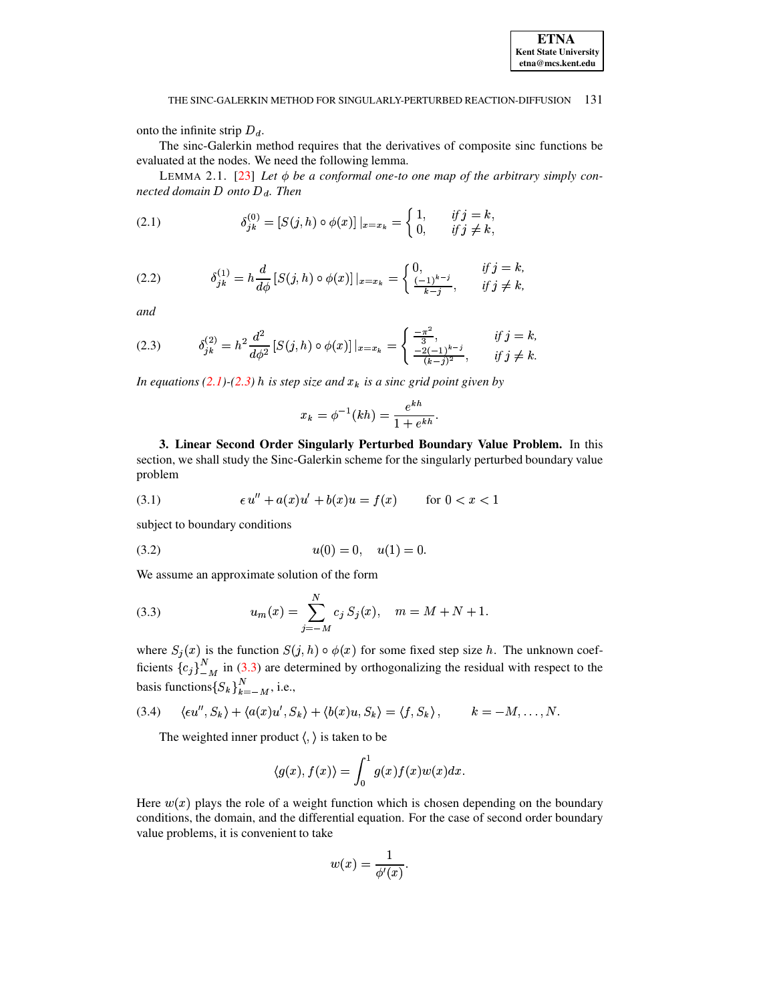onto the infinite strip  $D_d$ .

The sinc-Galerkin method requires that the derivatives of composite sinc functions be evaluated at the nodes. We need the following lemma.

LEMMA 2.1. [\[23\]](#page-11-0) Let  $\phi$  be a conformal one-to one map of the arbitrary simply con*nected domain*  $D$  *onto*  $D_d$ *. Then* 

<span id="page-2-0"></span>(2.1) 
$$
\delta_{jk}^{(0)} = [S(j, h) \circ \phi(x)]|_{x=x_k} = \begin{cases} 1, & \text{if } j = k, \\ 0, & \text{if } j \neq k, \end{cases}
$$

(2.2) 
$$
\delta_{jk}^{(1)} = h \frac{d}{d\phi} [S(j,h) \circ \phi(x)] |_{x=x_k} = \begin{cases} 0, & \text{if } j = k, \\ \frac{(-1)^{k-j}}{k-j}, & \text{if } j \neq k, \end{cases}
$$

*and*

<span id="page-2-1"></span>
$$
(2.3) \qquad \delta_{jk}^{(2)} = h^2 \frac{d^2}{d\phi^2} \left[ S(j,h) \circ \phi(x) \right] \Big|_{x=x_k} = \begin{cases} \frac{-\pi^2}{3}, & \text{if } j = k, \\ \frac{-2(-1)^{k-j}}{(k-j)^2}, & \text{if } j \neq k. \end{cases}
$$

*In equations* [\(2.1\)](#page-2-0) $-(2.3)$  $-(2.3)$  *h is step size and*  $x_k$  *is a sinc grid point given by* 

$$
x_k = \phi^{-1}(kh) = \frac{e^{kh}}{1 + e^{kh}}.
$$

<sup>K</sup> <sup>ª</sup> **3. Linear Second Order Singularly Perturbed Boundary Value Problem.** In this section, we shall study the Sinc-Galerkin scheme for the singularly perturbed boundary value problem

<span id="page-2-4"></span>(3.1) 
$$
\epsilon u'' + a(x)u' + b(x)u = f(x) \quad \text{for } 0 < x < 1
$$

subject to boundary conditions

<span id="page-2-5"></span>
$$
(3.2) \t\t u(0) = 0, \t u(1) = 0.
$$

We assume an approximate solution of the form

<span id="page-2-2"></span>(3.3) 
$$
u_m(x) = \sum_{j=-M}^{N} c_j S_j(x), \quad m = M + N + 1.
$$

where  $S_i(x)$  is the function  $S(j, h) \circ \phi(x)$  for some fixed step size h. The unknown coefficients  ${c_i}_{M}^{N}$  in [\(3.3\)](#page-2-2) are determined by orthogonalizing the residual with respect to the basis functions  $\{S_k\}_{k=-M}^N$ , i.e.,

<span id="page-2-3"></span>
$$
(3.4) \quad \langle \epsilon u'', S_k \rangle + \langle a(x)u', S_k \rangle + \langle b(x)u, S_k \rangle = \langle f, S_k \rangle, \qquad k = -M, \dots, N.
$$

The weighted inner product  $\langle , \rangle$  is taken to be

$$
\langle g(x), f(x) \rangle = \int_0^1 g(x) f(x) w(x) dx.
$$

Here  $w(x)$  plays the role of a weight function which is chosen depending on the boundary conditions, the domain, and the differential equation. For the case of second order boundary value problems, it is convenient to take

$$
w(x) = \frac{1}{\phi'(x)}.
$$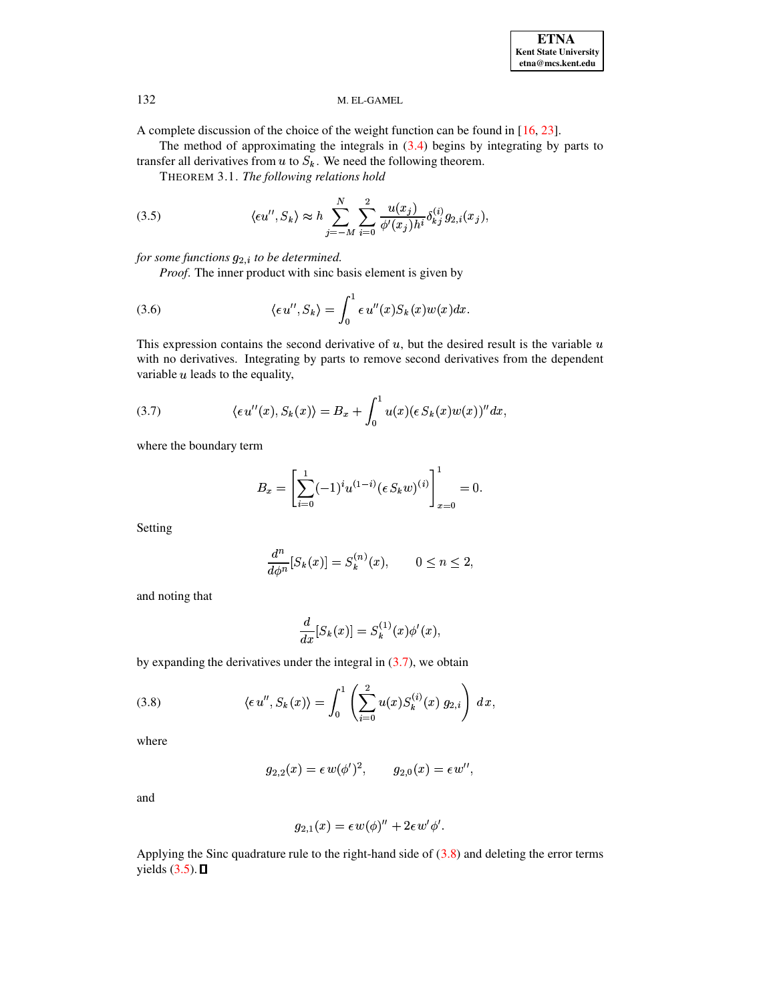A complete discussion of the choice of the weight function can be found in  $[16, 23]$ .

The method of approximating the integrals in  $(3.4)$  begins by integrating by parts to transfer all derivatives from  $u$  to  $S_k$ . We need the following theorem.

THEOREM 3.1. The following relations hold

<span id="page-3-2"></span>(3.5) 
$$
\langle \epsilon u'', S_k \rangle \approx h \sum_{j=-M}^{N} \sum_{i=0}^{2} \frac{u(x_j)}{\phi'(x_j) h^i} \delta_{kj}^{(i)} g_{2,i}(x_j),
$$

for some functions  $g_{2,i}$  to be determined.

*Proof.* The inner product with sinc basis element is given by

(3.6) 
$$
\langle \epsilon u'', S_k \rangle = \int_0^1 \epsilon u''(x) S_k(x) w(x) dx.
$$

This expression contains the second derivative of  $u$ , but the desired result is the variable  $u$ with no derivatives. Integrating by parts to remove second derivatives from the dependent variable  $u$  leads to the equality,

<span id="page-3-0"></span>(3.7) 
$$
\langle \epsilon u''(x), S_k(x) \rangle = B_x + \int_0^1 u(x) (\epsilon S_k(x) w(x))^{\prime \prime} dx,
$$

where the boundary term

$$
B_x = \left[\sum_{i=0}^1 (-1)^i u^{(1-i)} (\epsilon S_k w)^{(i)}\right]_{x=0}^1 = 0.
$$

Setting

$$
\frac{d^n}{d\phi^n}[S_k(x)] = S_k^{(n)}(x), \qquad 0 \le n \le 2,
$$

and noting that

$$
\frac{d}{dx}[S_k(x)] = S_k^{(1)}(x)\phi'(x),
$$

by expanding the derivatives under the integral in  $(3.7)$ , we obtain

<span id="page-3-1"></span>(3.8) 
$$
\langle \epsilon u'', S_k(x) \rangle = \int_0^1 \left( \sum_{i=0}^2 u(x) S_k^{(i)}(x) g_{2,i} \right) dx,
$$

where

$$
g_{2,2}(x) = \epsilon w(\phi')^2
$$
,  $g_{2,0}(x) = \epsilon w''$ ,

and

$$
g_{2,1}(x) = \epsilon w(\phi)'' + 2\epsilon w'\phi'.
$$

Applying the Sinc quadrature rule to the right-hand side of  $(3.8)$  and deleting the error terms yields  $(3.5)$ .  $\Box$ 

132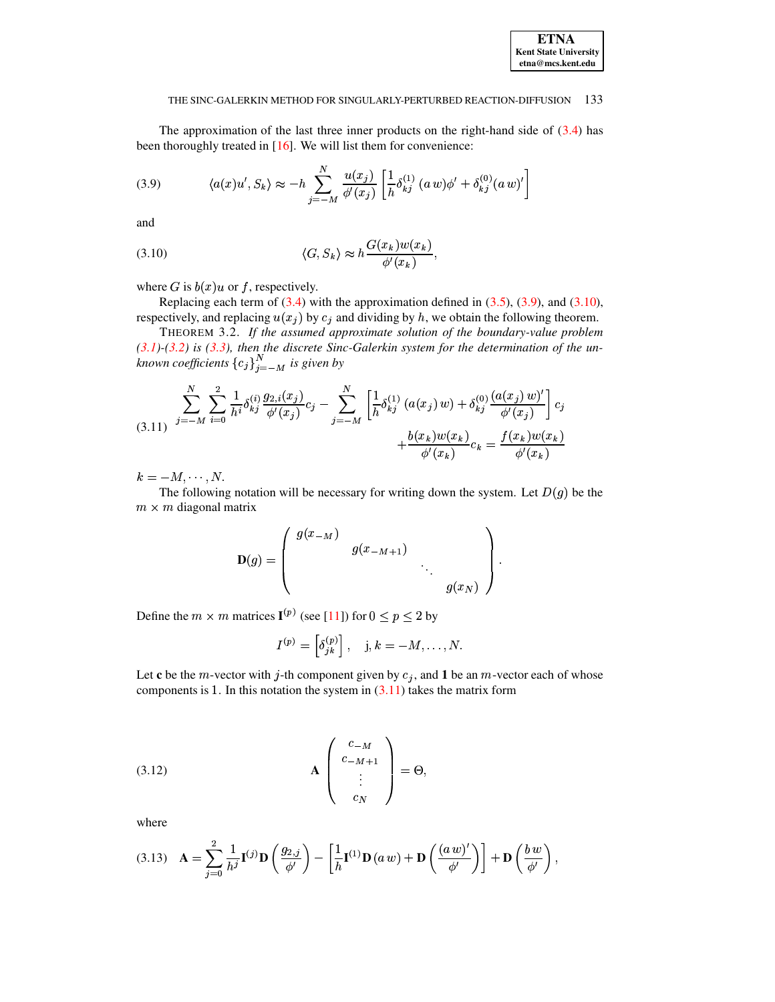# <span id="page-4-4"></span>**ETNA Kent State University**  $etna@mcs. kent.edu$

#### THE SINC-GALERKIN METHOD FOR SINGULARLY-PERTURBED REACTION-DIFFUSION 133

The approximation of the last three inner products on the right-hand side of  $(3.4)$  has been thoroughly treated in  $[16]$ . We will list them for convenience:

<span id="page-4-0"></span>(3.9) 
$$
\langle a(x)u', S_k \rangle \approx -h \sum_{j=-M}^{N} \frac{u(x_j)}{\phi'(x_j)} \left[ \frac{1}{h} \delta_{kj}^{(1)} (a \, w) \phi' + \delta_{kj}^{(0)} (a \, w)' \right]
$$

and

<span id="page-4-1"></span>(3.10) 
$$
\langle G, S_k \rangle \approx h \frac{G(x_k) w(x_k)}{\phi'(x_k)},
$$

where G is  $b(x)u$  or f, respectively.

Replacing each term of  $(3.4)$  with the approximation defined in  $(3.5)$ ,  $(3.9)$ , and  $(3.10)$ , respectively, and replacing  $u(x_j)$  by  $c_j$  and dividing by h, we obtain the following theorem.

THEOREM 3.2. If the assumed approximate solution of the boundary-value problem  $(3.1)$ - $(3.2)$  is  $(3.3)$ , then the discrete Sinc-Galerkin system for the determination of the unknown coefficients  ${c_j}_{j=-M}^N$  is given by

<span id="page-4-2"></span>
$$
(3.11) \quad \sum_{j=-M}^{N} \sum_{i=0}^{2} \frac{1}{h^i} \delta_{kj}^{(i)} \frac{g_{2,i}(x_j)}{\phi'(x_j)} c_j - \sum_{j=-M}^{N} \left[ \frac{1}{h} \delta_{kj}^{(1)} \left( a(x_j) w \right) + \delta_{kj}^{(0)} \frac{\left( a(x_j) w \right)'}{\phi'(x_j)} \right] c_j
$$
\n
$$
+ \frac{b(x_k) w(x_k)}{\phi'(x_k)} c_k = \frac{f(x_k) w(x_k)}{\phi'(x_k)}
$$

 $k=-M,\cdots,N.$ 

The following notation will be necessary for writing down the system. Let  $D(g)$  be the  $m \times m$  diagonal matrix

$$
\mathbf{D}(g) = \begin{pmatrix} g(x_{-M}) & & & \\ & g(x_{-M+1}) & & \\ & & \ddots & \\ & & & g(x_N) \end{pmatrix}
$$

Define the  $m \times m$  matrices  $I^{(p)}$  (see [11]) for  $0 \le p \le 2$  by

$$
I^{(p)} = \left[\delta_{jk}^{(p)}\right], \quad j,k = -M, \ldots, N.
$$

Let c be the *m*-vector with *j*-th component given by  $c_j$ , and 1 be an *m*-vector each of whose components is 1. In this notation the system in  $(3.11)$  takes the matrix form

<span id="page-4-3"></span>
$$
\mathbf{A} \begin{pmatrix} c_{-M} \\ c_{-M+1} \\ \vdots \\ c_N \end{pmatrix} = \Theta,
$$

where

<span id="page-4-5"></span>
$$
(3.13)\quad \mathbf{A} = \sum_{j=0}^{2} \frac{1}{h^{j}} \mathbf{I}^{(j)} \mathbf{D} \left( \frac{g_{2,j}}{\phi'} \right) - \left[ \frac{1}{h} \mathbf{I}^{(1)} \mathbf{D} \left( a \, w \right) + \mathbf{D} \left( \frac{(a \, w)^{\prime}}{\phi'} \right) \right] + \mathbf{D} \left( \frac{b \, w}{\phi'} \right),
$$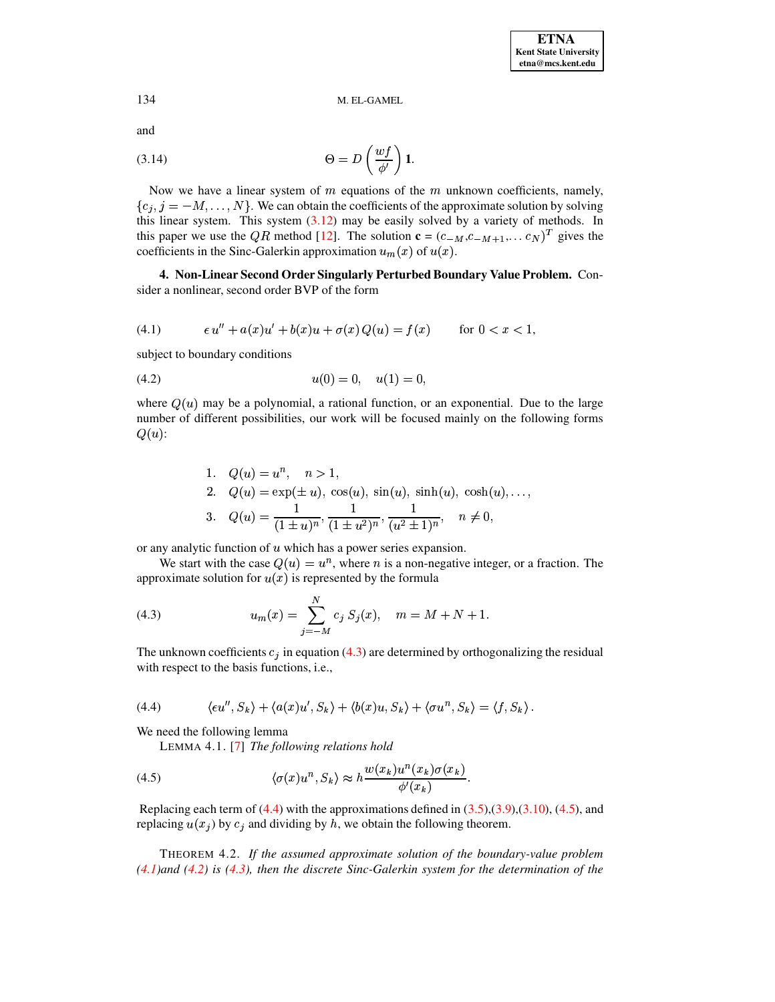and

<span id="page-5-5"></span>(3.14) 
$$
\Theta = D\left(\frac{wf}{\phi'}\right) \mathbf{1}.
$$

Now we have a linear system of  $m$  equations of the  $m$  unknown coefficients, namely,  $\{c_i, j = -M, \ldots, N\}$ . We can obtain the coefficients of the approximate solution by solving this linear system. This system  $(3.12)$  may be easily solved by a variety of methods. In this paper we use the QR method [12]. The solution  $\mathbf{c} = (c_{-M}, c_{-M+1}, \dots, c_N)^T$  gives the coefficients in the Sinc-Galerkin approximation  $u_m(x)$  of  $u(x)$ .

4. Non-Linear Second Order Singularly Perturbed Boundary Value Problem. Consider a nonlinear, second order BVP of the form

<span id="page-5-3"></span>(4.1) 
$$
\epsilon u'' + a(x)u' + b(x)u + \sigma(x) Q(u) = f(x) \quad \text{for } 0 < x < 1,
$$

subject to boundary conditions

<span id="page-5-4"></span>
$$
(4.2) \t\t u(0) = 0, \t u(1) = 0,
$$

where  $Q(u)$  may be a polynomial, a rational function, or an exponential. Due to the large number of different possibilities, our work will be focused mainly on the following forms  $Q(u)$ :

1. 
$$
Q(u) = u^n
$$
,  $n > 1$ ,  
\n2.  $Q(u) = \exp(\pm u)$ ,  $\cos(u)$ ,  $\sin(u)$ ,  $\sinh(u)$ ,  $\cosh(u)$ ,...  
\n3.  $Q(u) = \frac{1}{(1 \pm u)^n}$ ,  $\frac{1}{(1 \pm u^2)^n}$ ,  $\frac{1}{(u^2 \pm 1)^n}$ ,  $n \neq 0$ ,

or any analytic function of  $u$  which has a power series expansion.

We start with the case  $Q(u) = u^n$ , where *n* is a non-negative integer, or a fraction. The approximate solution for  $u(x)$  is represented by the formula

<span id="page-5-0"></span>(4.3) 
$$
u_m(x) = \sum_{j=-M}^{N} c_j S_j(x), \quad m = M + N + 1.
$$

The unknown coefficients  $c_j$  in equation (4.3) are determined by orthogonalizing the residual with respect to the basis functions, i.e.,

<span id="page-5-1"></span>(4.4) 
$$
\langle \epsilon u'', S_k \rangle + \langle a(x)u', S_k \rangle + \langle b(x)u, S_k \rangle + \langle \sigma u^n, S_k \rangle = \langle f, S_k \rangle.
$$

We need the following lemma

<span id="page-5-2"></span>LEMMA 4.1.  $[7]$  The following relations hold

(4.5) 
$$
\langle \sigma(x)u^n, S_k \rangle \approx h \frac{w(x_k)u^n(x_k)\sigma(x_k)}{\phi'(x_k)}.
$$

Replacing each term of  $(4.4)$  with the approximations defined in  $(3.5)$ ,  $(3.9)$ ,  $(3.10)$ ,  $(4.5)$ , and replacing  $u(x_i)$  by  $c_i$  and dividing by h, we obtain the following theorem.

THEOREM 4.2. If the assumed approximate solution of the boundary-value problem  $(4.1)$  and  $(4.2)$  is  $(4.3)$ , then the discrete Sinc-Galerkin system for the determination of the

134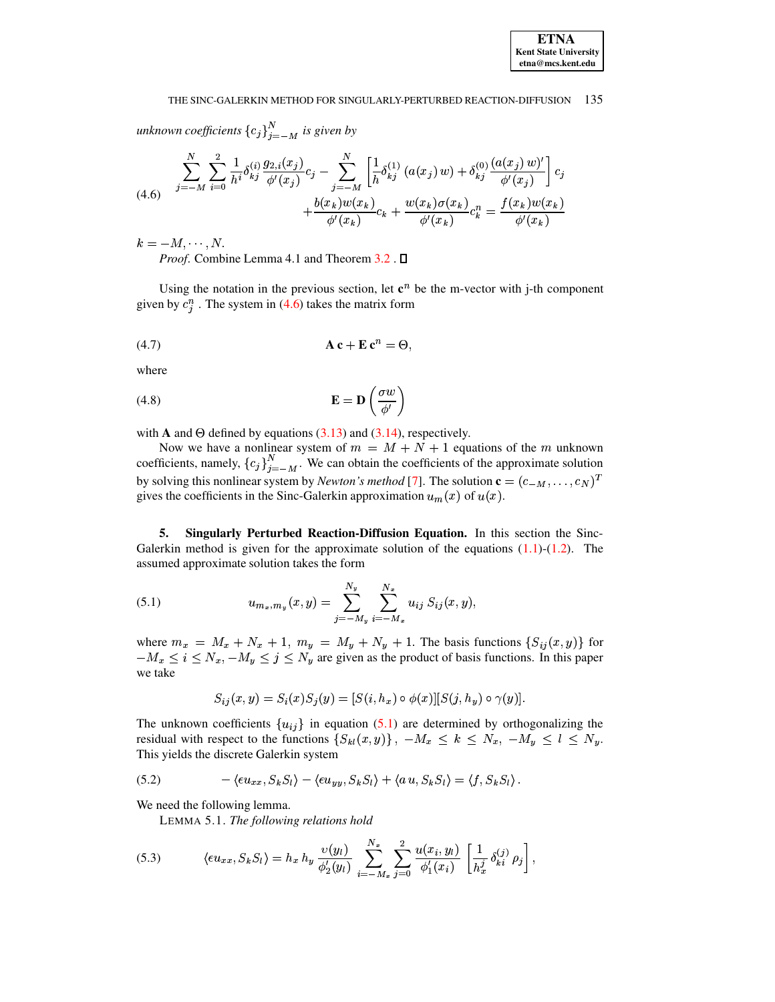#### THE SINC-GALERKIN METHOD FOR SINGULARLY-PERTURBED REACTION-DIFFUSION 135

unknown coefficients  ${c_j}_{i=-M}^N$  is given by

<span id="page-6-0"></span>
$$
(4.6) \quad \sum_{j=-M}^{N} \sum_{i=0}^{2} \frac{1}{h^i} \delta_{kj}^{(i)} \frac{g_{2,i}(x_j)}{\phi'(x_j)} c_j - \sum_{j=-M}^{N} \left[ \frac{1}{h} \delta_{kj}^{(1)} \left( a(x_j) w \right) + \delta_{kj}^{(0)} \frac{\left( a(x_j) w \right)'}{\phi'(x_j)} \right] c_j
$$
\n
$$
+ \frac{b(x_k) w(x_k)}{\phi'(x_k)} c_k + \frac{w(x_k) \sigma(x_k)}{\phi'(x_k)} c_k^n = \frac{f(x_k) w(x_k)}{\phi'(x_k)}
$$

 $k=-M,\cdots,N.$ 

*Proof.* Combine Lemma 4.1 and Theorem 3.2.  $\square$ 

Using the notation in the previous section, let  $c^n$  be the m-vector with j-th component given by  $c_i^n$ . The system in (4.6) takes the matrix form

$$
A c + E c^n = \Theta,
$$

where

(4.8) 
$$
\mathbf{E} = \mathbf{D} \left( \frac{\sigma w}{\phi'} \right)
$$

with **A** and  $\Theta$  defined by equations (3.13) and (3.14), respectively.

Now we have a nonlinear system of  $m = M + N + 1$  equations of the m unknown coefficients, namely,  ${c_j}_{j=-M}^N$ . We can obtain the coefficients of the approximate solution by solving this nonlinear system by *Newton's method* [7]. The solution  $\mathbf{c} = (c_{-M}, \dots, c_N)^T$ gives the coefficients in the Sinc-Galerkin approximation  $u_m(x)$  of  $u(x)$ .

5. Singularly Perturbed Reaction-Diffusion Equation. In this section the Sinc-Galerkin method is given for the approximate solution of the equations  $(1.1)-(1.2)$ . The assumed approximate solution takes the form

<span id="page-6-1"></span>(5.1) 
$$
u_{m_x,m_y}(x,y) = \sum_{j=-M_y}^{N_y} \sum_{i=-M_x}^{N_x} u_{ij} S_{ij}(x,y),
$$

where  $m_x = M_x + N_x + 1$ ,  $m_y = M_y + N_y + 1$ . The basis functions  $\{S_{ij}(x, y)\}$  for  $-M_x \le i \le N_x, -M_y \le j \le N_y$  are given as the product of basis functions. In this paper we take

$$
S_{ij}(x,y) = S_i(x)S_j(y) = [S(i,h_x) \circ \phi(x)][S(j,h_y) \circ \gamma(y)].
$$

The unknown coefficients  $\{u_{ij}\}\$ in equation (5.1) are determined by orthogonalizing the residual with respect to the functions  $\{S_{kl}(x,y)\}\$ ,  $-M_x \le k \le N_x$ ,  $-M_y \le l \le N_y$ . This yields the discrete Galerkin system

<span id="page-6-2"></span>(5.2) 
$$
-\langle \epsilon u_{xx}, S_k S_l \rangle - \langle \epsilon u_{yy}, S_k S_l \rangle + \langle a u, S_k S_l \rangle = \langle f, S_k S_l \rangle.
$$

We need the following lemma.

LEMMA 5.1. The following relations hold

<span id="page-6-3"></span>(5.3) 
$$
\langle \epsilon u_{xx}, S_k S_l \rangle = h_x h_y \frac{\upsilon(y_l)}{\phi'_2(y_l)} \sum_{i=-M_x}^{N_x} \sum_{j=0}^2 \frac{u(x_i, y_l)}{\phi'_1(x_i)} \left[ \frac{1}{h_x^j} \delta_{ki}^{(j)} \rho_j \right],
$$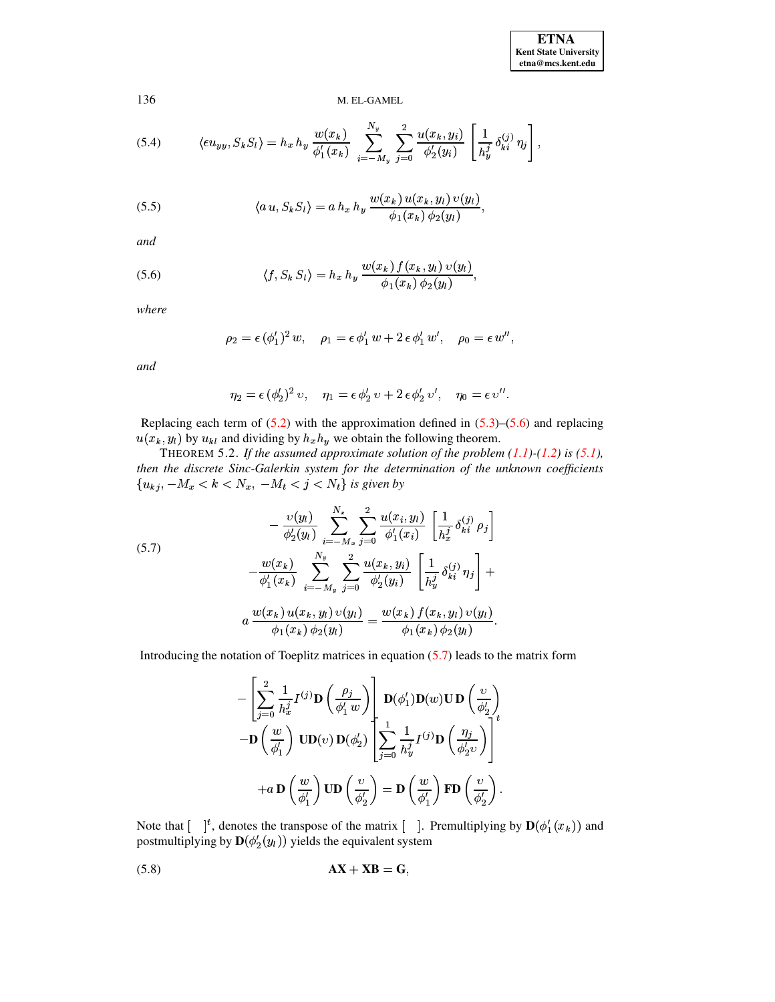**ETNA Kent State University etna@mcs.kent.edu**

136 M. EL-GAMEL

(5.4) 
$$
\langle \epsilon u_{yy}, S_k S_l \rangle = h_x h_y \frac{w(x_k)}{\phi'_1(x_k)} \sum_{i=-M_y}^{N_y} \sum_{j=0}^2 \frac{u(x_k, y_i)}{\phi'_2(y_i)} \left[ \frac{1}{h_y^j} \delta_{ki}^{(j)} \eta_j \right],
$$

(5.5) 
$$
\langle a u, S_k S_l \rangle = a h_x h_y \frac{w(x_k) u(x_k, y_l) v(y_l)}{\phi_1(x_k) \phi_2(y_l)},
$$

*and*

<span id="page-7-0"></span>(5.6) 
$$
\langle f, S_k S_l \rangle = h_x h_y \frac{w(x_k) f(x_k, y_l) v(y_l)}{\phi_1(x_k) \phi_2(y_l)},
$$

*where*

$$
\rho_2=\epsilon\,(\phi_1^\prime)^2\,w,\quad \rho_1=\epsilon\,\phi_1^\prime\,w+2\,\epsilon\,\phi_1^\prime\,w^\prime,\quad \rho_0=\epsilon\,w^{\prime\prime},
$$

*and*

$$
\eta_2 = \epsilon (\phi'_2)^2 \, \upsilon, \quad \eta_1 = \epsilon \, \phi'_2 \, \upsilon + 2 \, \epsilon \, \phi'_2 \, \upsilon', \quad \eta_0 = \epsilon \, \upsilon''.
$$

Replacing each term of  $(5.2)$  with the approximation defined in  $(5.3)$ – $(5.6)$  and replacing  $(x_k, y_l)$  by  $u_{kl}$  and dividing by  $h_x h_y$  we obtain the following theorem.<br>THEOREM 5.2. If the assumed approximate solution of the problem

THEOREM 5.2. If the assumed approximate solution of the problem  $(1.1)$ - $(1.2)$  is  $(5.1)$ *, then the discrete Sinc-Galerkin system for the determination of the unknown coefficients*  $\{u_{kj}, -M_x < k < N_x, -M_t < j < N_t\}$  is given by

<span id="page-7-1"></span>(5.7)  

$$
-\frac{\upsilon(y_l)}{\phi_2'(y_l)} \sum_{i=-M_x}^{N_x} \sum_{j=0}^2 \frac{u(x_i, y_l)}{\phi_1'(x_i)} \left[ \frac{1}{h_x^j} \delta_{ki}^{(j)} \rho_j \right]
$$

$$
-\frac{w(x_k)}{\phi_1'(x_k)} \sum_{i=-M_y}^{N_y} \sum_{j=0}^2 \frac{u(x_k, y_i)}{\phi_2'(y_i)} \left[ \frac{1}{h_y^j} \delta_{ki}^{(j)} \eta_j \right] +
$$

$$
a \frac{w(x_k) u(x_k, y_l) v(y_l)}{\phi_1(x_k) \phi_2(y_l)} = \frac{w(x_k) f(x_k, y_l) v(y_l)}{\phi_1(x_k) \phi_2(y_l)}.
$$

Introducing the notation of Toeplitz matrices in equation  $(5.7)$  leads to the matrix form

$$
- \left[\sum_{j=0}^{2} \frac{1}{h_x^j} I^{(j)} \mathbf{D} \left(\frac{\rho_j}{\phi'_1 w}\right) \right] \mathbf{D}(\phi'_1) \mathbf{D}(w) \mathbf{U} \mathbf{D} \left(\frac{v}{\phi'_2}\right) - \mathbf{D} \left(\frac{w}{\phi'_1}\right) \mathbf{U} \mathbf{D}(v) \mathbf{D}(\phi'_2) \left[\sum_{j=0}^{1} \frac{1}{h_y^j} I^{(j)} \mathbf{D} \left(\frac{\eta_j}{\phi'_2 v}\right) \right]^{t} + a \mathbf{D} \left(\frac{w}{\phi'_1}\right) \mathbf{U} \mathbf{D} \left(\frac{v}{\phi'_2}\right) = \mathbf{D} \left(\frac{w}{\phi'_1}\right) \mathbf{F} \mathbf{D} \left(\frac{v}{\phi'_2}\right).
$$

Note that  $\begin{bmatrix} \n\end{bmatrix}^t$ , denotes the transpose of the matrix  $\begin{bmatrix} \n\end{bmatrix}$ . Premultiplying by  $\mathbf{D}(\phi'_1(x_k))$  and postmultiplying by  $\mathbf{D}(\phi_2'(y_l))$  yields the equivalent system

<span id="page-7-2"></span>
$$
AX + XB = G,
$$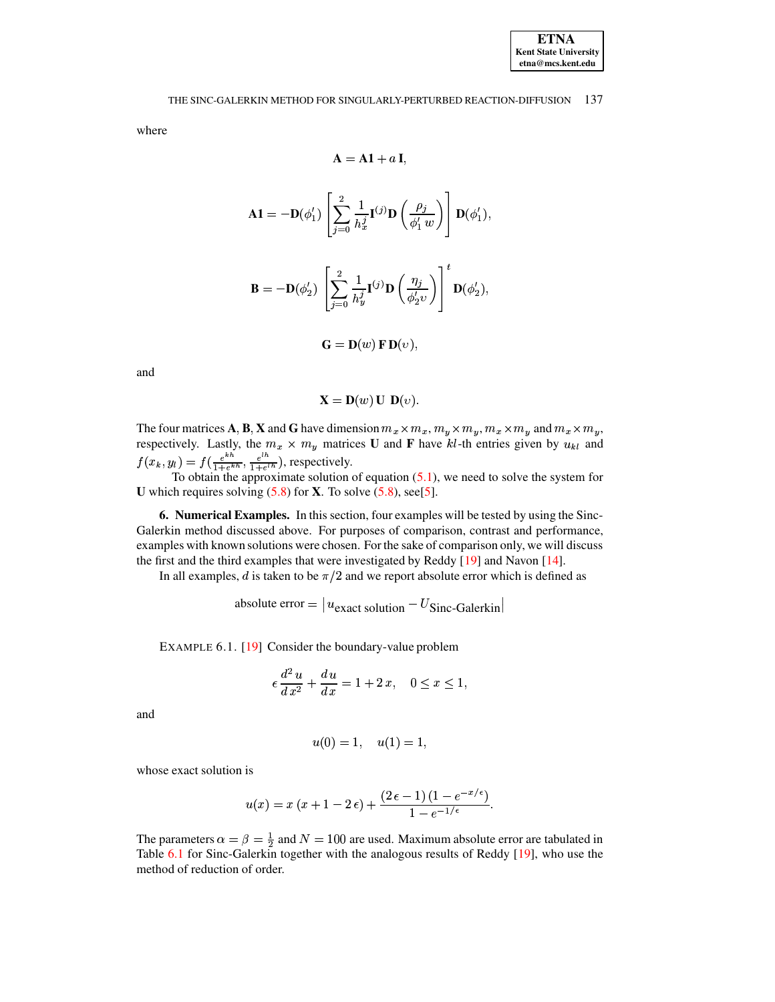#### THE SINC-GALERKIN METHOD FOR SINGULARLY-PERTURBED REACTION-DIFFUSION 137

where

$$
\mathbf{A} = \mathbf{A}\mathbf{1} + a\,\mathbf{I},
$$

$$
\mathbf{A1} = -\mathbf{D}(\phi'_1) \left[ \sum_{j=0}^2 \frac{1}{h_x^j} \mathbf{I}^{(j)} \mathbf{D} \left( \frac{\rho_j}{\phi'_1 w} \right) \right] \mathbf{D}(\phi'_1),
$$

$$
\mathbf{B} = -\mathbf{D}(\phi'_2) \left[ \sum_{j=0}^2 \frac{1}{h_y^j} \mathbf{I}^{(j)} \mathbf{D} \left( \frac{\eta_j}{\phi'_2 \upsilon} \right) \right]^t \mathbf{D}(\phi'_2),
$$

$$
\mathbf{G} = \mathbf{D}(w) \mathbf{F} \mathbf{D}(v),
$$

and

$$
\mathbf{X} = \mathbf{D}(w) \mathbf{U} \mathbf{D}(v).
$$

The four matrices **A**, **B**, **X** and **G** have dimension  $m_x \times m_x$ ,  $m_y \times m_y$ ,  $m_x \times m_y$  and  $m_x \times m_y$ , respectively. Lastly, the  $m_x \times m_y$  matrices **U** and **F** have kl-th entries given by  $u_{\mu}$  and respectively. Lastly, the  $m_x \times m_y$  matrices **U** and **F** have  $kl$ -th entries given by  $u_{kl}$  and  $f(x_k, y_k) = f(e^{kh} - e^{lh})$  respectively.  $f(x_k, y_l) = f(\frac{e^{i\pi k}}{1 + e^{i\pi k}}, \frac{e^{i\pi k}}{1 + e^{i\pi k}})$ , respectively.

To obtain the approximate solution of equation [\(5.1\)](#page-6-1), we need to solve the system for To obtain the approximate solution of equation (5.1), we need to solve the system for **U** which requires solving  $(5.8)$  for **X**. To solve  $(5.8)$ , see[\[5\]](#page-10-1).

**6. Numerical Examples.** In this section, four examples will be tested by using the Sinc-Galerkin method discussed above. For purposes of comparison, contrast and performance, examples with known solutions were chosen. For the sake of comparison only, we will discuss the first and the third examples that were investigated by Reddy [\[19\]](#page-11-14) and Navon [\[14\]](#page-11-18).

In all examples, d is taken to be  $\pi/2$  and we report absolute error which is defined as

absolute error =  $|u_{\text{exact}}\rangle$  solution  $-U$ Sinc-Galerkin

<span id="page-8-0"></span>EXAMPLE 6.1. [\[19\]](#page-11-14) Consider the boundary-value problem

$$
\epsilon \frac{d^2 u}{dx^2} + \frac{du}{dx} = 1 + 2x, \quad 0 \le x \le 1,
$$

and

$$
u(0) = 1, \quad u(1) = 1,
$$

whose exact solution is

$$
u(x) = x (x + 1 - 2 \epsilon) + \frac{(2 \epsilon - 1) (1 - e^{-x/\epsilon})}{1 - e^{-1/\epsilon}}.
$$

The parameters  $\alpha = \beta = \frac{1}{2}$  and  $N = 100$  are used. Maximum absolute error are tabulated in Table [6.1](#page-9-0) for Sinc-Galerkin together with the analogous results of Reddy [\[19\]](#page-11-14), who use the method of reduction of order.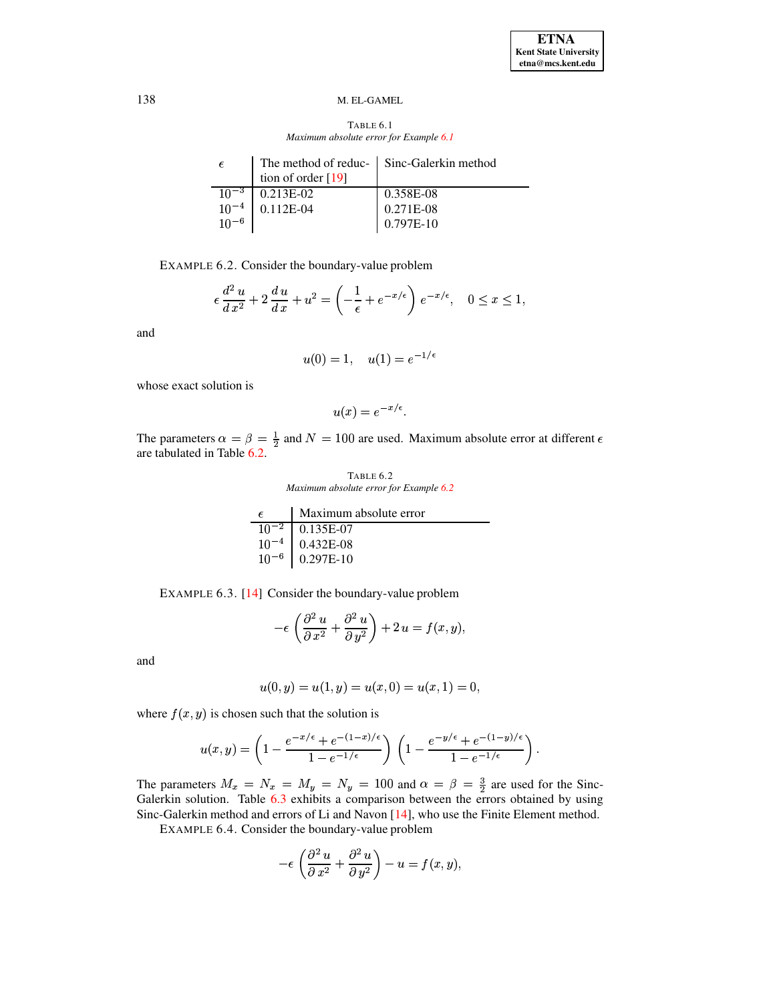TABLE 6.1 *Maximum absolute error for Example [6.1](#page-8-0)*

<span id="page-9-0"></span>

| -6                  | The method of reduc-   Sinc-Galerkin method<br>tion of order [19] |             |
|---------------------|-------------------------------------------------------------------|-------------|
| $10^{-3}$           | $0.213E-02$                                                       | 0.358E-08   |
|                     | $10^{-4}$ 0.112E-04                                               | 0.271E-08   |
| $\frac{10}{10}$ – 6 |                                                                   | $0.797E-10$ |

<span id="page-9-2"></span>EXAMPLE 6.2. Consider the boundary-value problem

$$
\epsilon \frac{d^2 u}{dx^2} + 2 \frac{du}{dx} + u^2 = \left(-\frac{1}{\epsilon} + e^{-x/\epsilon}\right) e^{-x/\epsilon}, \quad 0 \le x \le 1,
$$

and

$$
u(0) = 1, \quad u(1) = e^{-1/\epsilon}
$$

whose exact solution is

$$
u(x) = e^{-x/\epsilon}.
$$

The parameters  $\alpha = \beta = \frac{1}{2}$  and  $N = 100$  are used. Maximum absolute error at different  $\epsilon$ are tabulated in Table [6.2.](#page-9-1)

TABLE 6.2 *Maximum absolute error for Example [6.2](#page-9-2)*

<span id="page-9-1"></span>

| $\epsilon$ | Maximum absolute error                                                                                  |  |
|------------|---------------------------------------------------------------------------------------------------------|--|
|            | $\begin{array}{ c c c } \hline 10^{-2} & 0.135E-07 \\ \hline 10^{-4} & 0.432E-08 \\ \hline \end{array}$ |  |
|            |                                                                                                         |  |
|            | $10^{-6}$ 0.297E-10                                                                                     |  |

<span id="page-9-3"></span>EXAMPLE 6.3. [\[14\]](#page-11-18) Consider the boundary-value problem

$$
-\epsilon \left(\frac{\partial^2 u}{\partial x^2} + \frac{\partial^2 u}{\partial y^2}\right) + 2 u = f(x, y),
$$

and

$$
u(0,y) = u(1,y) = u(x,0) = u(x,1) = 0,
$$

where  $f(x, y)$  is chosen such that the solution is

$$
u(x,y) = \left(1 - \frac{e^{-x/\epsilon} + e^{-(1-x)/\epsilon}}{1 - e^{-1/\epsilon}}\right) \left(1 - \frac{e^{-y/\epsilon} + e^{-(1-y)/\epsilon}}{1 - e^{-1/\epsilon}}\right).
$$

<span id="page-9-4"></span>The parameters  $M_x = N_x = M_y = N_y = 100$  and  $\alpha = \beta = \frac{3}{2}$  are used for the Sinc-<br>Galerkin solution. Table 6.3 exhibits a comparison between the errors obtained by using Galerkin solution. Table [6.3](#page-10-5) exhibits a comparison between the errors obtained by using Sinc-Galerkin method and errors of Li and Navon [\[14\]](#page-11-18), who use the Finite Element method.

EXAMPLE 6.4. Consider the boundary-value problem

$$
-\epsilon \left(\frac{\partial^2 u}{\partial x^2} + \frac{\partial^2 u}{\partial y^2}\right) - u = f(x, y),
$$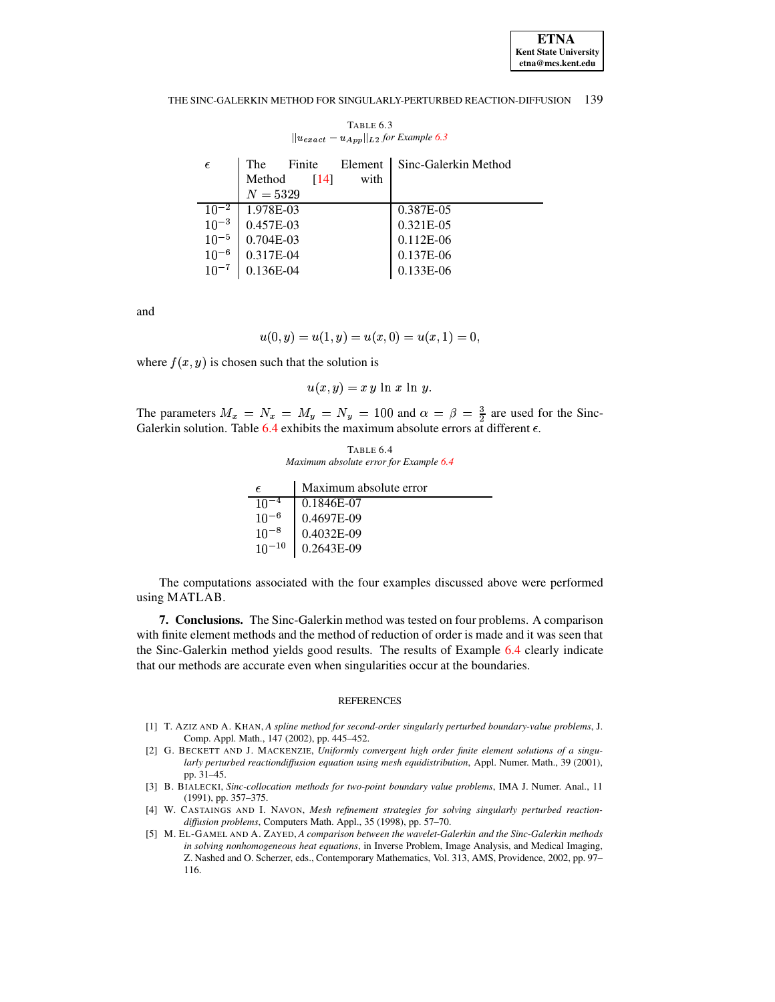**ETNA Kent State University**  $etna@mcs. kent.edu$ 

#### THE SINC-GALERKIN METHOD FOR SINGULARLY-PERTURBED REACTION-DIFFUSION 139

<span id="page-10-5"></span>

| $  u_{exact} - u_{App}  _{L^2}$ for Example 6.3 |                          |                      |  |  |
|-------------------------------------------------|--------------------------|----------------------|--|--|
| $\epsilon$                                      | Element<br>The<br>Finite | Sinc-Galerkin Method |  |  |
|                                                 | Method<br>[14]<br>with   |                      |  |  |
|                                                 | $N = 5329$               |                      |  |  |
| $10^{-2}$                                       | 1.978E-03                | 0.387E-05            |  |  |
| $10^{-3}$                                       | $0.457E-03$              | 0.321E-05            |  |  |
| $10^{-5}$                                       | $0.704E-03$              | 0.112E-06            |  |  |
| $10^{-6}$                                       | 0.317E-04                | 0.137E-06            |  |  |
| $10^{-7}$                                       | 0.136E-04                | 0.133E-06            |  |  |
|                                                 |                          |                      |  |  |

TABLE 6.3

and

$$
u(0, y) = u(1, y) = u(x, 0) = u(x, 1) = 0,
$$

where  $f(x, y)$  is chosen such that the solution is

$$
u(x, y) = xy \ln x \ln y.
$$

The parameters  $M_x = N_x = M_y = N_y = 100$  and  $\alpha = \beta = \frac{3}{2}$  are used for the Sinc-Galerkin solution. Table 6.4 exhibits the maximum absolute errors at different  $\epsilon$ .

TABLE 6.4 Maximum absolute error for Example 6.4

<span id="page-10-6"></span>

|                     | Maximum absolute error |
|---------------------|------------------------|
| $10^{-4}$           | 0.1846E-07             |
| $10^{-6}$           | 0.4697E-09             |
| $\frac{1}{10}$ – 8  | 0.4032E-09             |
| $\frac{1}{10}$ – 10 | 0.2643E-09             |

The computations associated with the four examples discussed above were performed using MATLAB.

7. Conclusions. The Sinc-Galerkin method was tested on four problems. A comparison with finite element methods and the method of reduction of order is made and it was seen that the Sinc-Galerkin method yields good results. The results of Example 6.4 clearly indicate that our methods are accurate even when singularities occur at the boundaries.

### **REFERENCES**

- <span id="page-10-2"></span>[1] T. AZIZ AND A. KHAN, A spline method for second-order singularly perturbed boundary-value problems, J. Comp. Appl. Math., 147 (2002), pp. 445-452.
- <span id="page-10-3"></span>[2] G. BECKETT AND J. MACKENZIE, Uniformly convergent high order finite element solutions of a singularly perturbed reactiondiffusion equation using mesh equidistribution, Appl. Numer. Math., 39 (2001), pp. 31-45.
- <span id="page-10-0"></span>[3] B. BIALECKI, Sinc-collocation methods for two-point boundary value problems, IMA J. Numer. Anal., 11  $(1991)$ , pp. 357-375.
- <span id="page-10-4"></span>[4] W. CASTAINGS AND I. NAVON, Mesh refinement strategies for solving singularly perturbed reactiondiffusion problems, Computers Math. Appl., 35 (1998), pp. 57-70.
- <span id="page-10-1"></span>[5] M. EL-GAMEL AND A. ZAYED, A comparison between the wavelet-Galerkin and the Sinc-Galerkin methods in solving nonhomogeneous heat equations, in Inverse Problem, Image Analysis, and Medical Imaging, Z. Nashed and O. Scherzer, eds., Contemporary Mathematics, Vol. 313, AMS, Providence, 2002, pp. 97– 116.